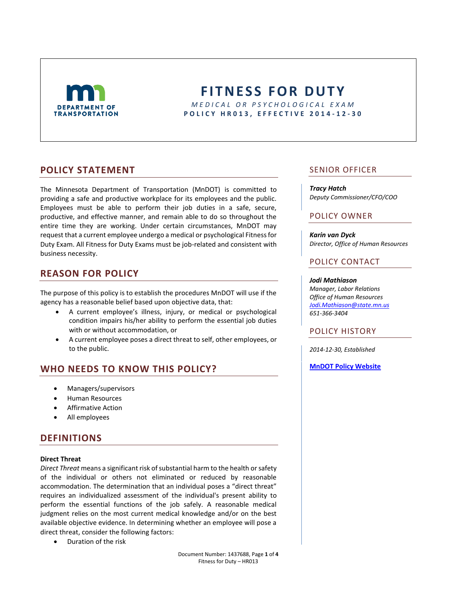

# **FITNESS FOR DUTY** *M E D I C A L O R P S Y C H O L O G I C A L E X A M* **P O L I C Y H R 0 1 3 , E F F E C T I V E 2014 - 1 2 - 3 0**

## **POLICY STATEMENT**

The Minnesota Department of Transportation (MnDOT) is committed to providing a safe and productive workplace for its employees and the public. Employees must be able to perform their job duties in a safe, secure, productive, and effective manner, and remain able to do so throughout the entire time they are working. Under certain circumstances, MnDOT may request that a current employee undergo a medical or psychological Fitness for Duty Exam. All Fitness for Duty Exams must be job-related and consistent with business necessity.

# **REASON FOR POLICY**

The purpose of this policy is to establish the procedures MnDOT will use if the agency has a reasonable belief based upon objective data, that:

- A current employee's illness, injury, or medical or psychological condition impairs his/her ability to perform the essential job duties with or without accommodation, or
- A current employee poses a direct threat to self, other employees, or to the public.

# **WHO NEEDS TO KNOW THIS POLICY?**

- Managers/supervisors
- Human Resources
- Affirmative Action
- All employees

## **DEFINITIONS**

#### **Direct Threat**

*Direct Threat* means a significant risk of substantial harm to the health or safety of the individual or others not eliminated or reduced by reasonable accommodation. The determination that an individual poses a "direct threat" requires an individualized assessment of the individual's present ability to perform the essential functions of the job safely. A reasonable medical judgment relies on the most current medical knowledge and/or on the best available objective evidence. In determining whether an employee will pose a direct threat, consider the following factors:

• Duration of the risk

### SENIOR OFFICER

#### *Tracy Hatch*

*Deputy Commissioner/CFO/COO*

### POLICY OWNER

*Karin van Dyck Director, Office of Human Resources*

### POLICY CONTACT

#### *Jodi Mathiason*

*Manager, Labor Relations Office of Human Resources [Jodi.Mathiason@state.mn.us](mailto:Jodi.mathiason@state.mn.us) 651-366-3404*

### POLICY HISTORY

*2014-12-30, Established*

**[MnDOT Policy Website](http://www.dot.state.mn.us/policy/index.html)**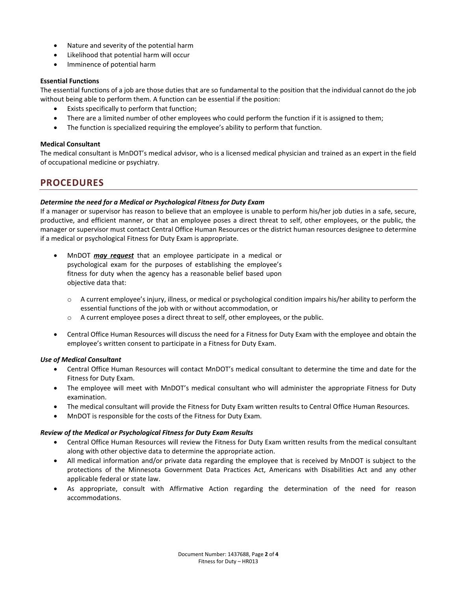- Nature and severity of the potential harm
- Likelihood that potential harm will occur
- Imminence of potential harm

### **Essential Functions**

The essential functions of a job are those duties that are so fundamental to the position that the individual cannot do the job without being able to perform them. A function can be essential if the position:

- Exists specifically to perform that function;
- There are a limited number of other employees who could perform the function if it is assigned to them;
- The function is specialized requiring the employee's ability to perform that function.

### **Medical Consultant**

The medical consultant is MnDOT's medical advisor, who is a licensed medical physician and trained as an expert in the field of occupational medicine or psychiatry.

## **PROCEDURES**

### *Determine the need for a Medical or Psychological Fitness for Duty Exam*

If a manager or supervisor has reason to believe that an employee is unable to perform his/her job duties in a safe, secure, productive, and efficient manner, or that an employee poses a direct threat to self, other employees, or the public, the manager or supervisor must contact Central Office Human Resources or the district human resources designee to determine if a medical or psychological Fitness for Duty Exam is appropriate.

- MnDOT *may request* that an employee participate in a medical or psychological exam for the purposes of establishing the employee's fitness for duty when the agency has a reasonable belief based upon objective data that:
	- o A current employee's injury, illness, or medical or psychological condition impairs his/her ability to perform the essential functions of the job with or without accommodation, or
	- o A current employee poses a direct threat to self, other employees, or the public.
- Central Office Human Resources will discuss the need for a Fitness for Duty Exam with the employee and obtain the employee's written consent to participate in a Fitness for Duty Exam.

### *Use of Medical Consultant*

- Central Office Human Resources will contact MnDOT's medical consultant to determine the time and date for the Fitness for Duty Exam.
- The employee will meet with MnDOT's medical consultant who will administer the appropriate Fitness for Duty examination.
- The medical consultant will provide the Fitness for Duty Exam written results to Central Office Human Resources.
- MnDOT is responsible for the costs of the Fitness for Duty Exam.

#### *Review of the Medical or Psychological Fitness for Duty Exam Results*

- Central Office Human Resources will review the Fitness for Duty Exam written results from the medical consultant along with other objective data to determine the appropriate action.
- All medical information and/or private data regarding the employee that is received by MnDOT is subject to the protections of the Minnesota Government Data Practices Act, Americans with Disabilities Act and any other applicable federal or state law.
- As appropriate, consult with Affirmative Action regarding the determination of the need for reason accommodations.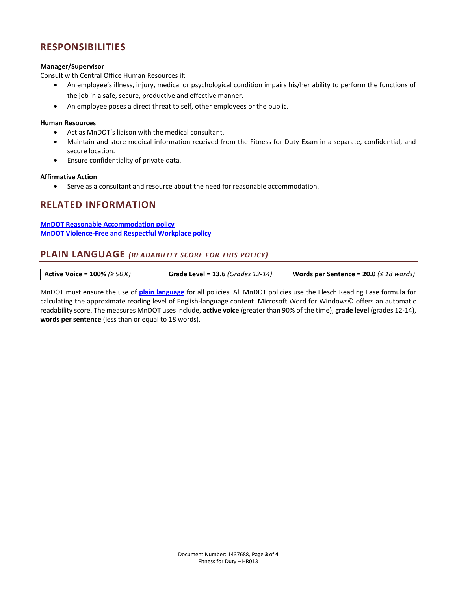# **RESPONSIBILITIES**

### **Manager/Supervisor**

Consult with Central Office Human Resources if:

- An employee's illness, injury, medical or psychological condition impairs his/her ability to perform the functions of the job in a safe, secure, productive and effective manner.
- An employee poses a direct threat to self, other employees or the public.

#### **Human Resources**

- Act as MnDOT's liaison with the medical consultant.
- Maintain and store medical information received from the Fitness for Duty Exam in a separate, confidential, and secure location.
- Ensure confidentiality of private data.

#### **Affirmative Action**

Serve as a consultant and resource about the need for reasonable accommodation.

## **RELATED INFORMATION**

**[MnDOT Reasonable Accommodation policy](http://www.dot.state.mn.us/policy/hr/hr009.html) [MnDOT Violence-Free and Respectful Workplace policy](http://www.dot.state.mn.us/policy/hr/hr014.html)**

## **PLAIN LANGUAGE** *(READABILITY SCORE FOR THIS POLICY)*

| Active Voice = $100\%$ ( $\geq 90\%$ ) | <b>Grade Level = 13.6 (Grades 12-14)</b> | Words per Sentence = 20.0 $( \leq 18$ words) |
|----------------------------------------|------------------------------------------|----------------------------------------------|
|----------------------------------------|------------------------------------------|----------------------------------------------|

MnDOT must ensure the use of **[plain language](http://ihub.dot.state.mn.us/plainlanguage/index.html)** for all policies. All MnDOT policies use the Flesch Reading Ease formula for calculating the approximate reading level of English-language content. Microsoft Word for Windows© offers an automatic readability score. The measures MnDOT uses include, **active voice** (greater than 90% of the time), **grade level** (grades 12-14), **words per sentence** (less than or equal to 18 words).